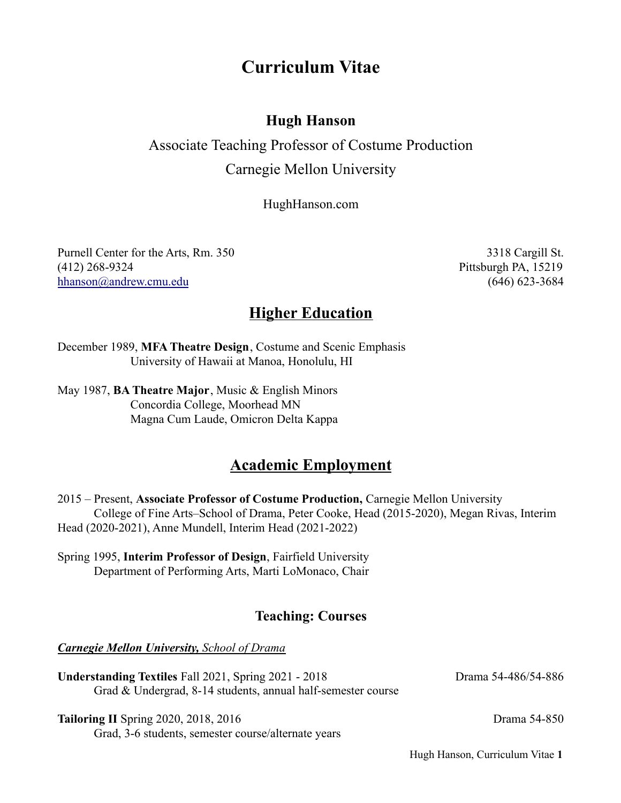# **Curriculum Vitae**

# **Hugh Hanson**

# Associate Teaching Professor of Costume Production Carnegie Mellon University

HughHanson.com

Purnell Center for the Arts, Rm. 350 3318 Cargill St. (412) 268-9324 Pittsburgh PA, 15219 hhanson@andrew.cmu.edu (646) 623-3684

# **Higher Education**

December 1989, **MFA Theatre Design**, Costume and Scenic Emphasis University of Hawaii at Manoa, Honolulu, HI

May 1987, **BA Theatre Major**, Music & English Minors Concordia College, Moorhead MN Magna Cum Laude, Omicron Delta Kappa

# **Academic Employment**

2015 – Present, **Associate Professor of Costume Production,** Carnegie Mellon University College of Fine Arts–School of Drama, Peter Cooke, Head (2015-2020), Megan Rivas, Interim Head (2020-2021), Anne Mundell, Interim Head (2021-2022)

Spring 1995, **Interim Professor of Design**, Fairfield University Department of Performing Arts, Marti LoMonaco, Chair

# **Teaching: Courses**

*Carnegie Mellon University, School of Drama*

Understanding Textiles Fall 2021, Spring 2021 - 2018 Drama 54-486/54-886 Grad & Undergrad, 8-14 students, annual half-semester course

**Tailoring II** Spring 2020, 2018, 2016 Drama 54-850 Grad, 3-6 students, semester course/alternate years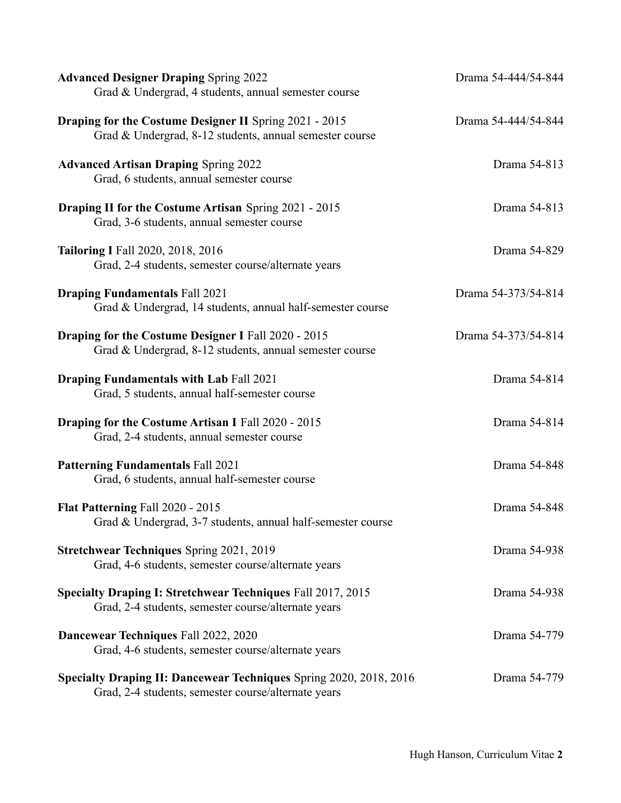| <b>Advanced Designer Draping Spring 2022</b><br>Grad & Undergrad, 4 students, annual semester course                      | Drama 54-444/54-844 |
|---------------------------------------------------------------------------------------------------------------------------|---------------------|
| <b>Draping for the Costume Designer II Spring 2021 - 2015</b><br>Grad & Undergrad, 8-12 students, annual semester course  | Drama 54-444/54-844 |
| <b>Advanced Artisan Draping Spring 2022</b><br>Grad, 6 students, annual semester course                                   | Drama 54-813        |
| <b>Draping II for the Costume Artisan Spring 2021 - 2015</b><br>Grad, 3-6 students, annual semester course                | Drama 54-813        |
| <b>Tailoring I Fall 2020, 2018, 2016</b><br>Grad, 2-4 students, semester course/alternate years                           | Drama 54-829        |
| <b>Draping Fundamentals Fall 2021</b><br>Grad & Undergrad, 14 students, annual half-semester course                       | Drama 54-373/54-814 |
| Draping for the Costume Designer I Fall 2020 - 2015<br>Grad & Undergrad, 8-12 students, annual semester course            | Drama 54-373/54-814 |
| <b>Draping Fundamentals with Lab Fall 2021</b><br>Grad, 5 students, annual half-semester course                           | Drama 54-814        |
| <b>Draping for the Costume Artisan I Fall 2020 - 2015</b><br>Grad, 2-4 students, annual semester course                   | Drama 54-814        |
| <b>Patterning Fundamentals Fall 2021</b><br>Grad, 6 students, annual half-semester course                                 | Drama 54-848        |
| Flat Patterning Fall 2020 - 2015<br>Grad & Undergrad, 3-7 students, annual half-semester course                           | Drama 54-848        |
| <b>Stretchwear Techniques Spring 2021, 2019</b><br>Grad, 4-6 students, semester course/alternate years                    | Drama 54-938        |
| Specialty Draping I: Stretchwear Techniques Fall 2017, 2015<br>Grad, 2-4 students, semester course/alternate years        | Drama 54-938        |
| Dancewear Techniques Fall 2022, 2020<br>Grad, 4-6 students, semester course/alternate years                               | Drama 54-779        |
| Specialty Draping II: Dancewear Techniques Spring 2020, 2018, 2016<br>Grad, 2-4 students, semester course/alternate years | Drama 54-779        |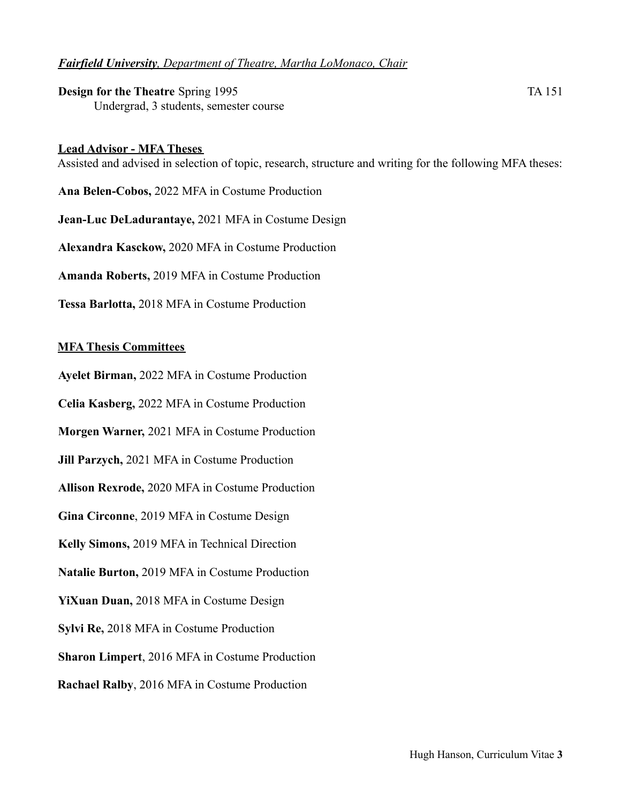## *Fairfield University, Department of Theatre, Martha LoMonaco, Chair*

**Design for the Theatre** Spring 1995 TA 151 Undergrad, 3 students, semester course

#### **Lead Advisor - MFA Theses**

Assisted and advised in selection of topic, research, structure and writing for the following MFA theses:

**Ana Belen-Cobos,** 2022 MFA in Costume Production **Jean-Luc DeLadurantaye,** 2021 MFA in Costume Design **Alexandra Kasckow,** 2020 MFA in Costume Production **Amanda Roberts,** 2019 MFA in Costume Production **Tessa Barlotta,** 2018 MFA in Costume Production

#### **MFA Thesis Committees**

**Ayelet Birman,** 2022 MFA in Costume Production

**Celia Kasberg,** 2022 MFA in Costume Production

**Morgen Warner,** 2021 MFA in Costume Production

**Jill Parzych,** 2021 MFA in Costume Production

**Allison Rexrode,** 2020 MFA in Costume Production

**Gina Circonne**, 2019 MFA in Costume Design

**Kelly Simons,** 2019 MFA in Technical Direction

**Natalie Burton,** 2019 MFA in Costume Production

**YiXuan Duan,** 2018 MFA in Costume Design

**Sylvi Re,** 2018 MFA in Costume Production

**Sharon Limpert**, 2016 MFA in Costume Production

**Rachael Ralby**, 2016 MFA in Costume Production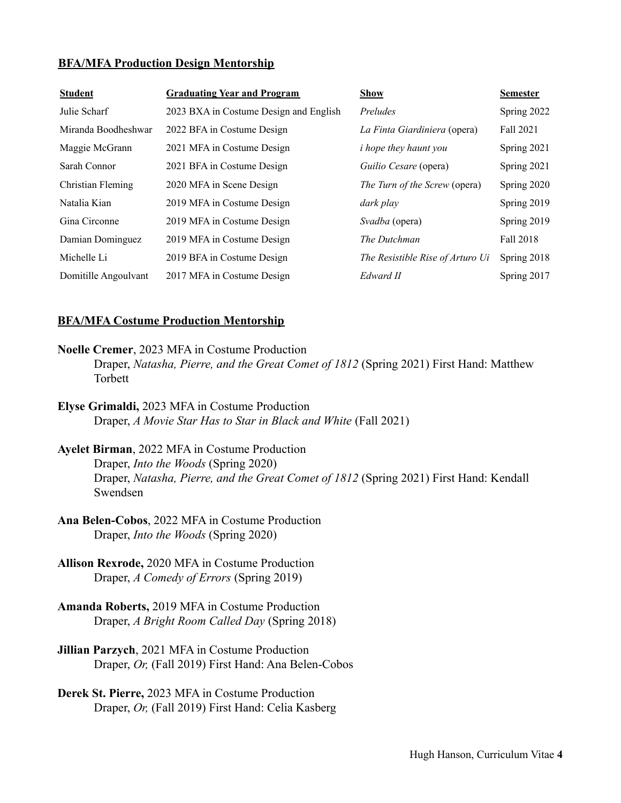#### **BFA/MFA Production Design Mentorship**

| <b>Student</b>       | <b>Graduating Year and Program</b>     | <b>Show</b>                      | <b>Semester</b> |
|----------------------|----------------------------------------|----------------------------------|-----------------|
| Julie Scharf         | 2023 BXA in Costume Design and English | Preludes                         | Spring 2022     |
| Miranda Boodheshwar  | 2022 BFA in Costume Design             | La Finta Giardiniera (opera)     | Fall 2021       |
| Maggie McGrann       | 2021 MFA in Costume Design             | <i>i</i> hope they haunt you     | Spring 2021     |
| Sarah Connor         | 2021 BFA in Costume Design             | Guilio Cesare (opera)            | Spring 2021     |
| Christian Fleming    | 2020 MFA in Scene Design               | The Turn of the Screw (opera)    | Spring 2020     |
| Natalia Kian         | 2019 MFA in Costume Design             | dark play                        | Spring 2019     |
| Gina Circonne        | 2019 MFA in Costume Design             | Svadba (opera)                   | Spring 2019     |
| Damian Dominguez     | 2019 MFA in Costume Design             | The Dutchman                     | Fall 2018       |
| Michelle Li          | 2019 BFA in Costume Design             | The Resistible Rise of Arturo Ui | Spring 2018     |
| Domitille Angoulvant | 2017 MFA in Costume Design             | Edward II                        | Spring 2017     |

#### **BFA/MFA Costume Production Mentorship**

- **Noelle Cremer**, 2023 MFA in Costume Production Draper, *Natasha, Pierre, and the Great Comet of 1812* (Spring 2021) First Hand: Matthew Torbett
- **Elyse Grimaldi,** 2023 MFA in Costume Production Draper, *A Movie Star Has to Star in Black and White* (Fall 2021)
- **Ayelet Birman**, 2022 MFA in Costume Production Draper, *Into the Woods* (Spring 2020) Draper, *Natasha, Pierre, and the Great Comet of 1812* (Spring 2021) First Hand: Kendall Swendsen
- **Ana Belen-Cobos**, 2022 MFA in Costume Production Draper, *Into the Woods* (Spring 2020)
- **Allison Rexrode,** 2020 MFA in Costume Production Draper, *A Comedy of Errors* (Spring 2019)
- **Amanda Roberts,** 2019 MFA in Costume Production Draper, *A Bright Room Called Day* (Spring 2018)
- **Jillian Parzych**, 2021 MFA in Costume Production Draper, *Or,* (Fall 2019) First Hand: Ana Belen-Cobos
- **Derek St. Pierre,** 2023 MFA in Costume Production Draper, *Or,* (Fall 2019) First Hand: Celia Kasberg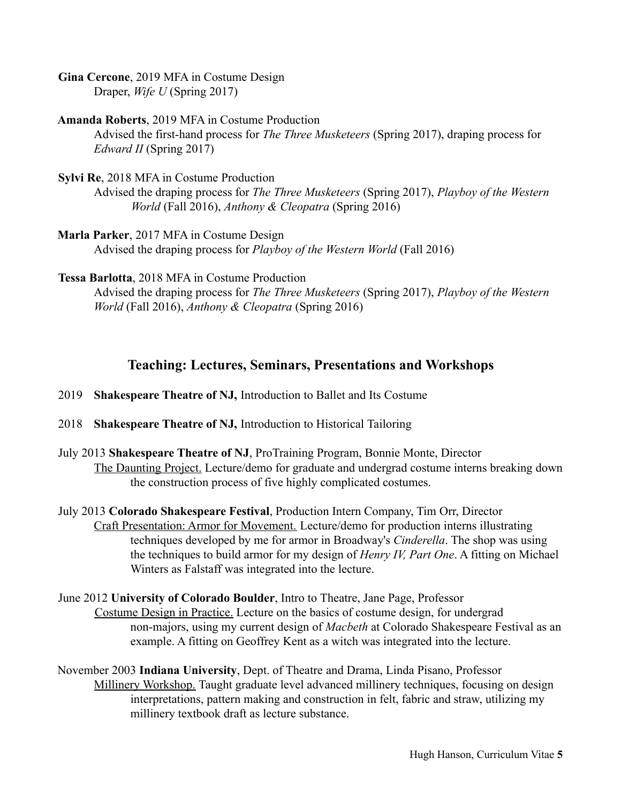**Gina Cercone**, 2019 MFA in Costume Design Draper, *Wife U* (Spring 2017)

## **Amanda Roberts**, 2019 MFA in Costume Production

Advised the first-hand process for *The Three Musketeers* (Spring 2017), draping process for *Edward II* (Spring 2017)

## **Sylvi Re**, 2018 MFA in Costume Production

Advised the draping process for *The Three Musketeers* (Spring 2017), *Playboy of the Western World* (Fall 2016), *Anthony & Cleopatra* (Spring 2016)

## **Marla Parker**, 2017 MFA in Costume Design

Advised the draping process for *Playboy of the Western World* (Fall 2016)

## **Tessa Barlotta**, 2018 MFA in Costume Production

Advised the draping process for *The Three Musketeers* (Spring 2017), *Playboy of the Western World* (Fall 2016), *Anthony & Cleopatra* (Spring 2016)

# **Teaching: Lectures, Seminars, Presentations and Workshops**

2019 **Shakespeare Theatre of NJ,** Introduction to Ballet and Its Costume

- 2018 **Shakespeare Theatre of NJ,** Introduction to Historical Tailoring
- July 2013 **Shakespeare Theatre of NJ**, ProTraining Program, Bonnie Monte, Director The Daunting Project. Lecture/demo for graduate and undergrad costume interns breaking down the construction process of five highly complicated costumes.
- July 2013 **Colorado Shakespeare Festival**, Production Intern Company, Tim Orr, Director Craft Presentation: Armor for Movement. Lecture/demo for production interns illustrating techniques developed by me for armor in Broadway's *Cinderella*. The shop was using the techniques to build armor for my design of *Henry IV, Part One*. A fitting on Michael Winters as Falstaff was integrated into the lecture.
- June 2012 **University of Colorado Boulder**, Intro to Theatre, Jane Page, Professor Costume Design in Practice. Lecture on the basics of costume design, for undergrad non-majors, using my current design of *Macbeth* at Colorado Shakespeare Festival as an example. A fitting on Geoffrey Kent as a witch was integrated into the lecture.
- November 2003 **Indiana University**, Dept. of Theatre and Drama, Linda Pisano, Professor Millinery Workshop. Taught graduate level advanced millinery techniques, focusing on design interpretations, pattern making and construction in felt, fabric and straw, utilizing my millinery textbook draft as lecture substance.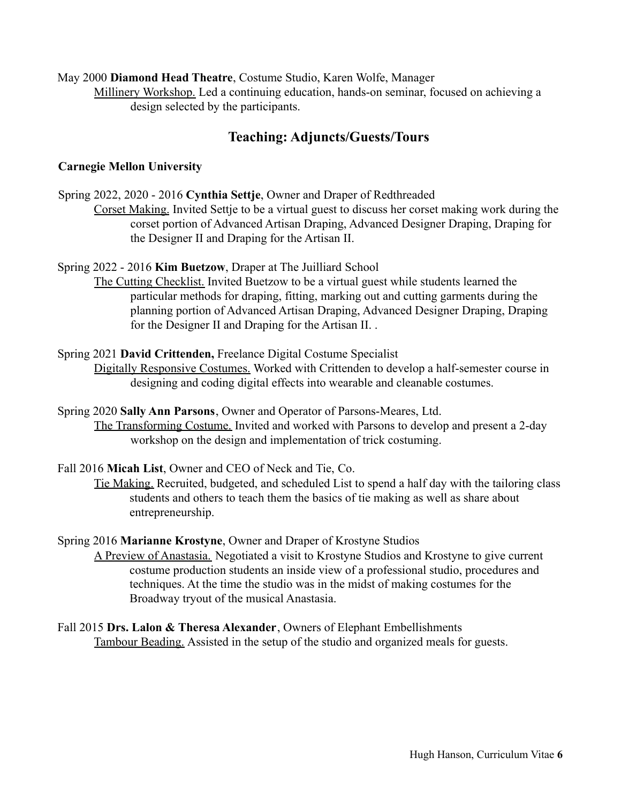## May 2000 **Diamond Head Theatre**, Costume Studio, Karen Wolfe, Manager

Millinery Workshop. Led a continuing education, hands-on seminar, focused on achieving a design selected by the participants.

# **Teaching: Adjuncts/Guests/Tours**

## **Carnegie Mellon University**

Spring 2022, 2020 - 2016 **Cynthia Settje**, Owner and Draper of Redthreaded

Corset Making. Invited Settje to be a virtual guest to discuss her corset making work during the corset portion of Advanced Artisan Draping, Advanced Designer Draping, Draping for the Designer II and Draping for the Artisan II.

Spring 2022 - 2016 **Kim Buetzow**, Draper at The Juilliard School

The Cutting Checklist. Invited Buetzow to be a virtual guest while students learned the particular methods for draping, fitting, marking out and cutting garments during the planning portion of Advanced Artisan Draping, Advanced Designer Draping, Draping for the Designer II and Draping for the Artisan II. .

## Spring 2021 **David Crittenden,** Freelance Digital Costume Specialist

Digitally Responsive Costumes. Worked with Crittenden to develop a half-semester course in designing and coding digital effects into wearable and cleanable costumes.

Spring 2020 **Sally Ann Parsons**, Owner and Operator of Parsons-Meares, Ltd. The Transforming Costume. Invited and worked with Parsons to develop and present a 2-day workshop on the design and implementation of trick costuming.

Fall 2016 **Micah List**, Owner and CEO of Neck and Tie, Co.

Tie Making. Recruited, budgeted, and scheduled List to spend a half day with the tailoring class students and others to teach them the basics of tie making as well as share about entrepreneurship.

#### Spring 2016 **Marianne Krostyne**, Owner and Draper of Krostyne Studios

A Preview of Anastasia. Negotiated a visit to Krostyne Studios and Krostyne to give current costume production students an inside view of a professional studio, procedures and techniques. At the time the studio was in the midst of making costumes for the Broadway tryout of the musical Anastasia.

Fall 2015 **Drs. Lalon & Theresa Alexander**, Owners of Elephant Embellishments Tambour Beading. Assisted in the setup of the studio and organized meals for guests.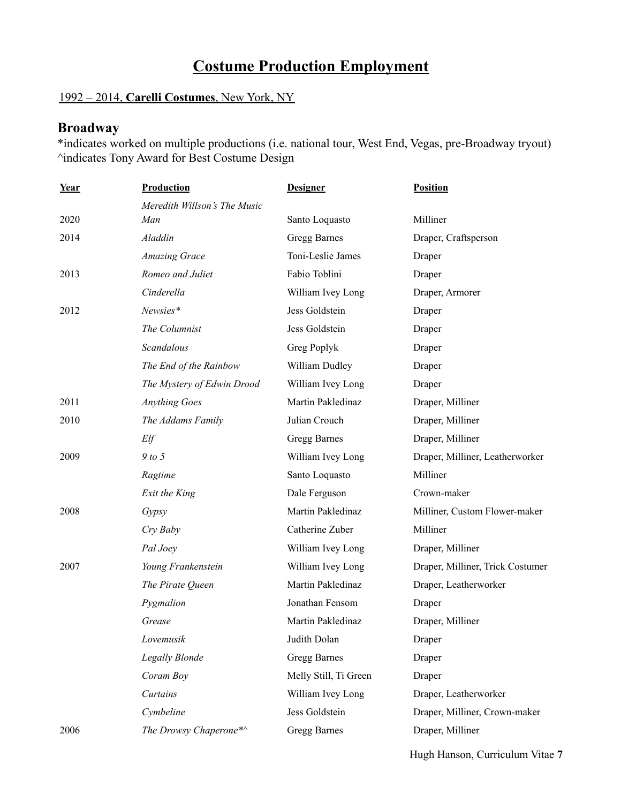# **Costume Production Employment**

# 1992 – 2014, **Carelli Costumes**, New York, NY

# **Broadway**

\*indicates worked on multiple productions (i.e. national tour, West End, Vegas, pre-Broadway tryout) ^indicates Tony Award for Best Costume Design

| Year | Production                   | <b>Designer</b>       | <b>Position</b>                  |
|------|------------------------------|-----------------------|----------------------------------|
|      | Meredith Willson's The Music |                       |                                  |
| 2020 | Man                          | Santo Loquasto        | Milliner                         |
| 2014 | Aladdin                      | Gregg Barnes          | Draper, Craftsperson             |
|      | <b>Amazing Grace</b>         | Toni-Leslie James     | Draper                           |
| 2013 | Romeo and Juliet             | Fabio Toblini         | Draper                           |
|      | Cinderella                   | William Ivey Long     | Draper, Armorer                  |
| 2012 | Newsies*                     | Jess Goldstein        | Draper                           |
|      | The Columnist                | Jess Goldstein        | Draper                           |
|      | Scandalous                   | Greg Poplyk           | Draper                           |
|      | The End of the Rainbow       | William Dudley        | Draper                           |
|      | The Mystery of Edwin Drood   | William Ivey Long     | Draper                           |
| 2011 | <b>Anything Goes</b>         | Martin Pakledinaz     | Draper, Milliner                 |
| 2010 | The Addams Family            | Julian Crouch         | Draper, Milliner                 |
|      | Elf                          | Gregg Barnes          | Draper, Milliner                 |
| 2009 | $9$ to 5                     | William Ivey Long     | Draper, Milliner, Leatherworker  |
|      | Ragtime                      | Santo Loquasto        | Milliner                         |
|      | Exit the King                | Dale Ferguson         | Crown-maker                      |
| 2008 | Gypsy                        | Martin Pakledinaz     | Milliner, Custom Flower-maker    |
|      | Cry Baby                     | Catherine Zuber       | Milliner                         |
|      | Pal Joey                     | William Ivey Long     | Draper, Milliner                 |
| 2007 | Young Frankenstein           | William Ivey Long     | Draper, Milliner, Trick Costumer |
|      | The Pirate Queen             | Martin Pakledinaz     | Draper, Leatherworker            |
|      | Pygmalion                    | Jonathan Fensom       | Draper                           |
|      | Grease                       | Martin Pakledinaz     | Draper, Milliner                 |
|      | Lovemusik                    | Judith Dolan          | Draper                           |
|      | Legally Blonde               | Gregg Barnes          | Draper                           |
|      | Coram Boy                    | Melly Still, Ti Green | Draper                           |
|      | Curtains                     | William Ivey Long     | Draper, Leatherworker            |
|      | Cymbeline                    | Jess Goldstein        | Draper, Milliner, Crown-maker    |
| 2006 | The Drowsy Chaperone*^       | Gregg Barnes          | Draper, Milliner                 |
|      |                              |                       |                                  |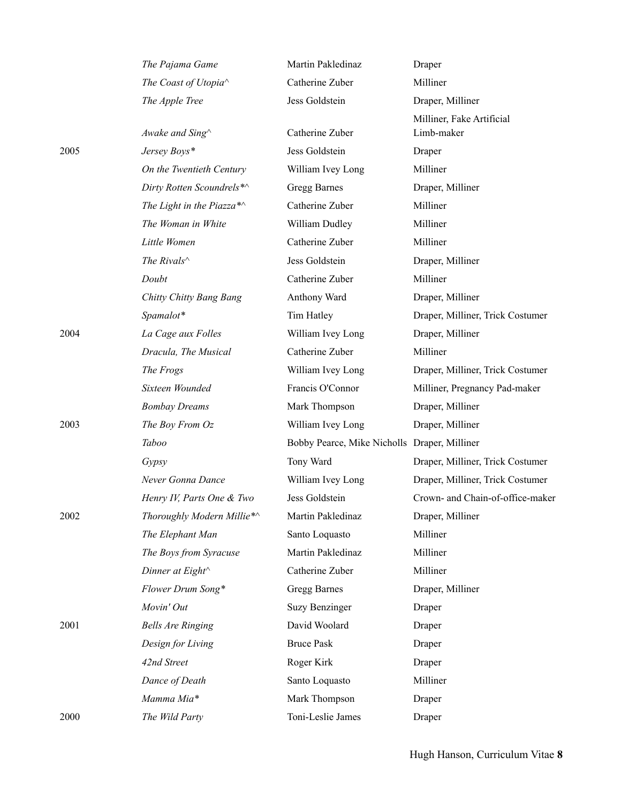|      | The Pajama Game            | Martin Pakledinaz                            | Draper                                  |
|------|----------------------------|----------------------------------------------|-----------------------------------------|
|      | The Coast of Utopia^       | Catherine Zuber                              | Milliner                                |
|      | The Apple Tree             | Jess Goldstein                               | Draper, Milliner                        |
|      | Awake and Sing^            | Catherine Zuber                              | Milliner, Fake Artificial<br>Limb-maker |
| 2005 | Jersey Boys*               | Jess Goldstein                               | Draper                                  |
|      | On the Twentieth Century   | William Ivey Long                            | Milliner                                |
|      | Dirty Rotten Scoundrels*^  | Gregg Barnes                                 | Draper, Milliner                        |
|      | The Light in the Piazza*^  | Catherine Zuber                              | Milliner                                |
|      | The Woman in White         | William Dudley                               | Milliner                                |
|      | Little Women               | Catherine Zuber                              | Milliner                                |
|      | The Rivals $\wedge$        | Jess Goldstein                               | Draper, Milliner                        |
|      | Doubt                      | Catherine Zuber                              | Milliner                                |
|      | Chitty Chitty Bang Bang    | Anthony Ward                                 | Draper, Milliner                        |
|      | Spamalot*                  | Tim Hatley                                   | Draper, Milliner, Trick Costumer        |
| 2004 | La Cage aux Folles         | William Ivey Long                            | Draper, Milliner                        |
|      | Dracula, The Musical       | Catherine Zuber                              | Milliner                                |
|      | The Frogs                  | William Ivey Long                            | Draper, Milliner, Trick Costumer        |
|      | Sixteen Wounded            | Francis O'Connor                             | Milliner, Pregnancy Pad-maker           |
|      | <b>Bombay Dreams</b>       | Mark Thompson                                | Draper, Milliner                        |
| 2003 | The Boy From Oz            | William Ivey Long                            | Draper, Milliner                        |
|      | Taboo                      | Bobby Pearce, Mike Nicholls Draper, Milliner |                                         |
|      | Gypsy                      | Tony Ward                                    | Draper, Milliner, Trick Costumer        |
|      | Never Gonna Dance          | William Ivey Long                            | Draper, Milliner, Trick Costumer        |
|      | Henry IV, Parts One & Two  | Jess Goldstein                               | Crown- and Chain-of-office-maker        |
| 2002 | Thoroughly Modern Millie*^ | Martin Pakledinaz                            | Draper, Milliner                        |
|      | The Elephant Man           | Santo Loquasto                               | Milliner                                |
|      | The Boys from Syracuse     | Martin Pakledinaz                            | Milliner                                |
|      | Dinner at Eight^           | Catherine Zuber                              | Milliner                                |
|      | Flower Drum Song*          | Gregg Barnes                                 | Draper, Milliner                        |
|      | Movin' Out                 | <b>Suzy Benzinger</b>                        | Draper                                  |
| 2001 | <b>Bells Are Ringing</b>   | David Woolard                                | Draper                                  |
|      | Design for Living          | <b>Bruce Pask</b>                            | Draper                                  |
|      | 42nd Street                | Roger Kirk                                   | Draper                                  |
|      | Dance of Death             | Santo Loquasto                               | Milliner                                |
|      | Mamma Mia*                 | Mark Thompson                                | Draper                                  |
| 2000 | The Wild Party             | Toni-Leslie James                            | Draper                                  |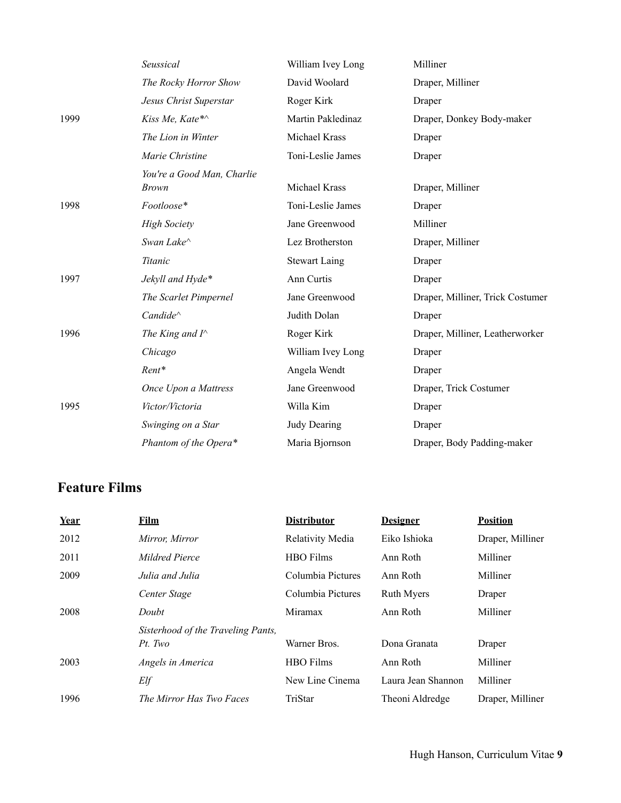|      | Seussical                                  | William Ivey Long    | Milliner                         |
|------|--------------------------------------------|----------------------|----------------------------------|
|      | The Rocky Horror Show                      | David Woolard        | Draper, Milliner                 |
|      | Jesus Christ Superstar                     | Roger Kirk           | Draper                           |
| 1999 | Kiss Me, Kate*^                            | Martin Pakledinaz    | Draper, Donkey Body-maker        |
|      | The Lion in Winter                         | Michael Krass        | Draper                           |
|      | Marie Christine                            | Toni-Leslie James    | Draper                           |
|      | You're a Good Man, Charlie<br><b>Brown</b> | Michael Krass        | Draper, Milliner                 |
| 1998 | Footloose*                                 | Toni-Leslie James    | Draper                           |
|      | <b>High Society</b>                        | Jane Greenwood       | Milliner                         |
|      | Swan Lake^                                 | Lez Brotherston      | Draper, Milliner                 |
|      | Titanic                                    | <b>Stewart Laing</b> | Draper                           |
| 1997 | Jekyll and Hyde*                           | Ann Curtis           | Draper                           |
|      | The Scarlet Pimpernel                      | Jane Greenwood       | Draper, Milliner, Trick Costumer |
|      | Candide <sup>^</sup>                       | Judith Dolan         | Draper                           |
| 1996 | The King and $I^{\wedge}$                  | Roger Kirk           | Draper, Milliner, Leatherworker  |
|      | Chicago                                    | William Ivey Long    | Draper                           |
|      | Rent*                                      | Angela Wendt         | Draper                           |
|      | Once Upon a Mattress                       | Jane Greenwood       | Draper, Trick Costumer           |
| 1995 | Victor/Victoria                            | Willa Kim            | Draper                           |
|      | Swinging on a Star                         | <b>Judy Dearing</b>  | Draper                           |
|      | Phantom of the Opera*                      | Maria Bjornson       | Draper, Body Padding-maker       |

# **Feature Films**

| Year | <u>Film</u>                        | <b>Distributor</b> | <b>Designer</b>    | <b>Position</b>  |
|------|------------------------------------|--------------------|--------------------|------------------|
| 2012 | Mirror, Mirror                     | Relativity Media   | Eiko Ishioka       | Draper, Milliner |
| 2011 | Mildred Pierce                     | <b>HBO</b> Films   | Ann Roth           | Milliner         |
| 2009 | Julia and Julia                    | Columbia Pictures  | Ann Roth           | Milliner         |
|      | Center Stage                       | Columbia Pictures  | <b>Ruth Myers</b>  | Draper           |
| 2008 | Doubt                              | Miramax            | Ann Roth           | Milliner         |
|      | Sisterhood of the Traveling Pants, |                    |                    |                  |
|      | Pt. Two                            | Warner Bros.       | Dona Granata       | Draper           |
| 2003 | Angels in America                  | <b>HBO</b> Films   | Ann Roth           | Milliner         |
|      | Elf                                | New Line Cinema    | Laura Jean Shannon | Milliner         |
| 1996 | The Mirror Has Two Faces           | TriStar            | Theoni Aldredge    | Draper, Milliner |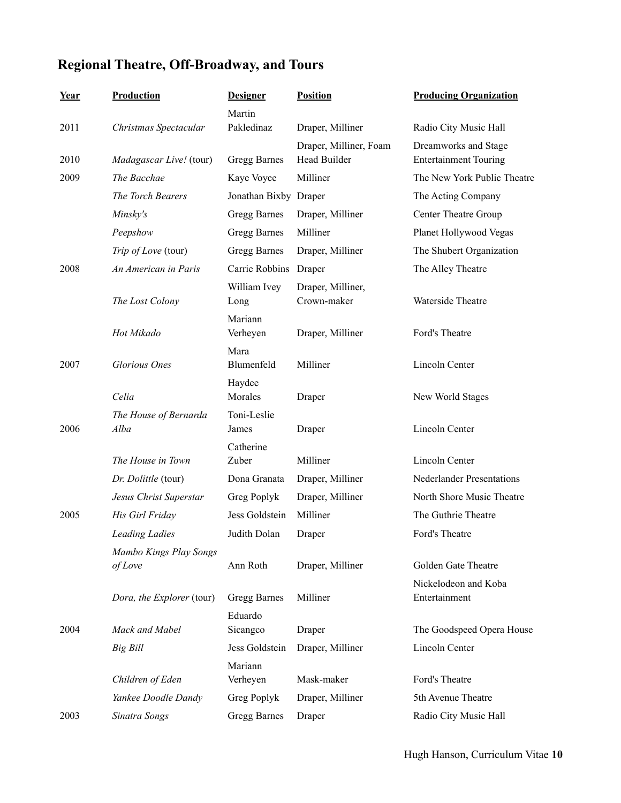# **Regional Theatre, Off-Broadway, and Tours**

| <u>Year</u> | <b>Production</b>                 | <b>Designer</b>       | <b>Position</b>                        | <b>Producing Organization</b>                        |
|-------------|-----------------------------------|-----------------------|----------------------------------------|------------------------------------------------------|
|             |                                   | Martin                |                                        |                                                      |
| 2011        | Christmas Spectacular             | Pakledinaz            | Draper, Milliner                       | Radio City Music Hall                                |
| 2010        | Madagascar Live! (tour)           | Gregg Barnes          | Draper, Milliner, Foam<br>Head Builder | Dreamworks and Stage<br><b>Entertainment Touring</b> |
| 2009        | The Bacchae                       | Kaye Voyce            | Milliner                               | The New York Public Theatre                          |
|             | The Torch Bearers                 | Jonathan Bixby Draper |                                        | The Acting Company                                   |
|             | Minsky's                          | Gregg Barnes          | Draper, Milliner                       | <b>Center Theatre Group</b>                          |
|             | Peepshow                          | Gregg Barnes          | Milliner                               | Planet Hollywood Vegas                               |
|             | Trip of Love (tour)               | Gregg Barnes          | Draper, Milliner                       | The Shubert Organization                             |
| 2008        | An American in Paris              | Carrie Robbins        | Draper                                 | The Alley Theatre                                    |
|             | The Lost Colony                   | William Ivey<br>Long  | Draper, Milliner,<br>Crown-maker       | Waterside Theatre                                    |
|             | Hot Mikado                        | Mariann<br>Verheyen   | Draper, Milliner                       | Ford's Theatre                                       |
| 2007        | <b>Glorious</b> Ones              | Mara<br>Blumenfeld    | Milliner                               | Lincoln Center                                       |
|             | Celia                             | Haydee<br>Morales     | Draper                                 | New World Stages                                     |
| 2006        | The House of Bernarda<br>Alba     | Toni-Leslie<br>James  | Draper                                 | Lincoln Center                                       |
|             |                                   | Catherine             |                                        |                                                      |
|             | The House in Town                 | Zuber                 | Milliner                               | Lincoln Center                                       |
|             | Dr. Dolittle (tour)               | Dona Granata          | Draper, Milliner                       | <b>Nederlander Presentations</b>                     |
|             | Jesus Christ Superstar            | Greg Poplyk           | Draper, Milliner                       | North Shore Music Theatre                            |
| 2005        | His Girl Friday                   | Jess Goldstein        | Milliner                               | The Guthrie Theatre                                  |
|             | <b>Leading Ladies</b>             | Judith Dolan          | Draper                                 | Ford's Theatre                                       |
|             | Mambo Kings Play Songs<br>of Love | Ann Roth              | Draper, Milliner                       | Golden Gate Theatre                                  |
|             | Dora, the Explorer (tour)         | Gregg Barnes          | Milliner                               | Nickelodeon and Koba<br>Entertainment                |
|             |                                   | Eduardo               |                                        |                                                      |
| 2004        | Mack and Mabel                    | Sicangco              | Draper                                 | The Goodspeed Opera House                            |
|             | Big Bill                          | Jess Goldstein        | Draper, Milliner                       | Lincoln Center                                       |
|             | Children of Eden                  | Mariann<br>Verheyen   | Mask-maker                             | Ford's Theatre                                       |
|             | Yankee Doodle Dandy               | Greg Poplyk           | Draper, Milliner                       | 5th Avenue Theatre                                   |
| 2003        | Sinatra Songs                     | Gregg Barnes          | Draper                                 | Radio City Music Hall                                |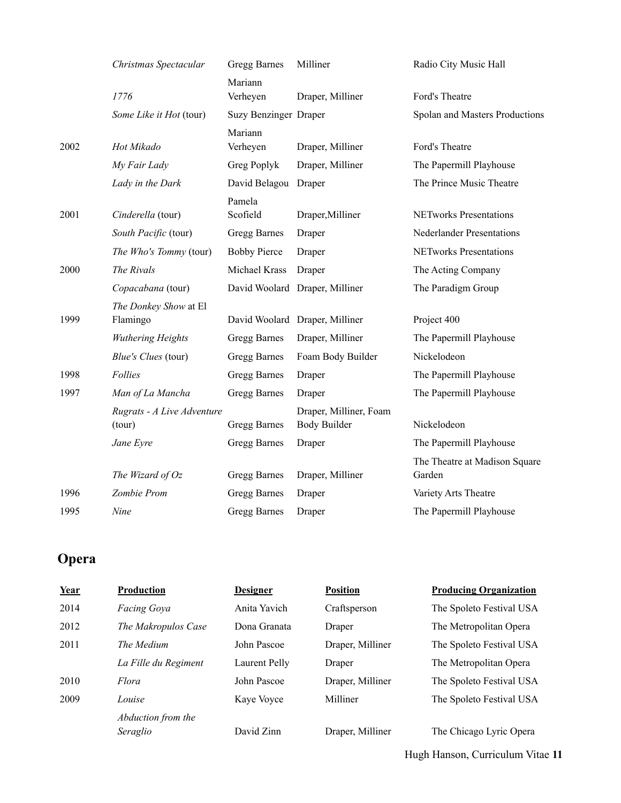|      | Christmas Spectacular                | Gregg Barnes          | Milliner                                      | Radio City Music Hall                   |
|------|--------------------------------------|-----------------------|-----------------------------------------------|-----------------------------------------|
|      | 1776                                 | Mariann<br>Verheyen   | Draper, Milliner                              | Ford's Theatre                          |
|      | Some Like it Hot (tour)              | Suzy Benzinger Draper |                                               | Spolan and Masters Productions          |
| 2002 | Hot Mikado                           | Mariann<br>Verheyen   | Draper, Milliner                              | Ford's Theatre                          |
|      | My Fair Lady                         | Greg Poplyk           | Draper, Milliner                              | The Papermill Playhouse                 |
|      | Lady in the Dark                     | David Belagou Draper  |                                               | The Prince Music Theatre                |
| 2001 | Cinderella (tour)                    | Pamela<br>Scofield    | Draper, Milliner                              | <b>NETworks Presentations</b>           |
|      | South Pacific (tour)                 | Gregg Barnes          | Draper                                        | <b>Nederlander Presentations</b>        |
|      | The Who's Tommy (tour)               | <b>Bobby Pierce</b>   | Draper                                        | <b>NETworks Presentations</b>           |
| 2000 | The Rivals                           | Michael Krass         | Draper                                        | The Acting Company                      |
|      | Copacabana (tour)                    |                       | David Woolard Draper, Milliner                | The Paradigm Group                      |
| 1999 | The Donkey Show at El<br>Flamingo    |                       | David Woolard Draper, Milliner                | Project 400                             |
|      | <b>Wuthering Heights</b>             | Gregg Barnes          | Draper, Milliner                              | The Papermill Playhouse                 |
|      | Blue's Clues (tour)                  | Gregg Barnes          | Foam Body Builder                             | Nickelodeon                             |
| 1998 | Follies                              | Gregg Barnes          | Draper                                        | The Papermill Playhouse                 |
| 1997 | Man of La Mancha                     | Gregg Barnes          | Draper                                        | The Papermill Playhouse                 |
|      | Rugrats - A Live Adventure<br>(tour) | <b>Gregg Barnes</b>   | Draper, Milliner, Foam<br><b>Body Builder</b> | Nickelodeon                             |
|      | Jane Eyre                            | Gregg Barnes          | Draper                                        | The Papermill Playhouse                 |
|      | The Wizard of $Oz$                   | Gregg Barnes          | Draper, Milliner                              | The Theatre at Madison Square<br>Garden |
| 1996 | Zombie Prom                          | Gregg Barnes          | Draper                                        | Variety Arts Theatre                    |
| 1995 | Nine                                 | Gregg Barnes          | Draper                                        | The Papermill Playhouse                 |

# **Opera**

| Year | <b>Production</b>              | <b>Designer</b> | <b>Position</b>  | <b>Producing Organization</b> |
|------|--------------------------------|-----------------|------------------|-------------------------------|
| 2014 | <b>Facing Goya</b>             | Anita Yavich    | Craftsperson     | The Spoleto Festival USA      |
| 2012 | The Makropulos Case            | Dona Granata    | Draper           | The Metropolitan Opera        |
| 2011 | The Medium                     | John Pascoe     | Draper, Milliner | The Spoleto Festival USA      |
|      | La Fille du Regiment           | Laurent Pelly   | Draper           | The Metropolitan Opera        |
| 2010 | Flora                          | John Pascoe     | Draper, Milliner | The Spoleto Festival USA      |
| 2009 | Louise                         | Kaye Voyce      | Milliner         | The Spoleto Festival USA      |
|      | Abduction from the<br>Seraglio | David Zinn      | Draper, Milliner | The Chicago Lyric Opera       |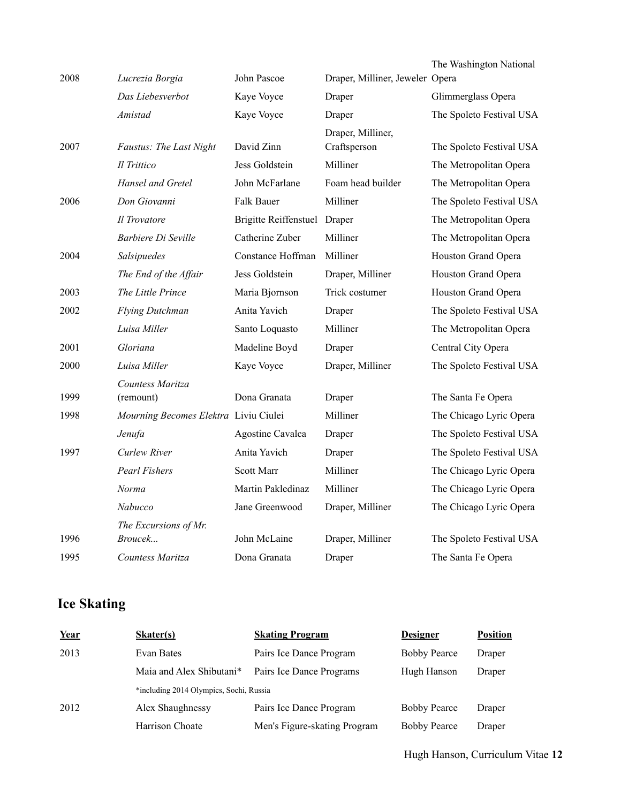| 2008 | Lucrezia Borgia                       | John Pascoe                  | Draper, Milliner, Jeweler Opera   | The Washington National  |
|------|---------------------------------------|------------------------------|-----------------------------------|--------------------------|
|      | Das Liebesverbot                      | Kaye Voyce                   | Draper                            | Glimmerglass Opera       |
|      | Amistad                               |                              |                                   |                          |
|      |                                       | Kaye Voyce                   | Draper                            | The Spoleto Festival USA |
| 2007 | Faustus: The Last Night               | David Zinn                   | Draper, Milliner,<br>Craftsperson | The Spoleto Festival USA |
|      | Il Trittico                           | Jess Goldstein               | Milliner                          | The Metropolitan Opera   |
|      | Hansel and Gretel                     | John McFarlane               | Foam head builder                 | The Metropolitan Opera   |
| 2006 | Don Giovanni                          | Falk Bauer                   | Milliner                          | The Spoleto Festival USA |
|      | Il Trovatore                          | Brigitte Reiffenstuel Draper |                                   | The Metropolitan Opera   |
|      | Barbiere Di Seville                   | Catherine Zuber              | Milliner                          | The Metropolitan Opera   |
| 2004 | Salsipuedes                           | Constance Hoffman            | Milliner                          | Houston Grand Opera      |
|      | The End of the Affair                 | Jess Goldstein               | Draper, Milliner                  | Houston Grand Opera      |
| 2003 | The Little Prince                     | Maria Bjornson               | Trick costumer                    | Houston Grand Opera      |
| 2002 | Flying Dutchman                       | Anita Yavich                 | Draper                            | The Spoleto Festival USA |
|      | Luisa Miller                          | Santo Loquasto               | Milliner                          | The Metropolitan Opera   |
| 2001 | Gloriana                              | Madeline Boyd                | Draper                            | Central City Opera       |
| 2000 | Luisa Miller                          | Kaye Voyce                   | Draper, Milliner                  | The Spoleto Festival USA |
|      | Countess Maritza                      |                              |                                   |                          |
| 1999 | (remount)                             | Dona Granata                 | Draper                            | The Santa Fe Opera       |
| 1998 | Mourning Becomes Elektra Liviu Ciulei |                              | Milliner                          | The Chicago Lyric Opera  |
|      | Jenufa                                | Agostine Cavalca             | Draper                            | The Spoleto Festival USA |
| 1997 | Curlew River                          | Anita Yavich                 | Draper                            | The Spoleto Festival USA |
|      | <b>Pearl Fishers</b>                  | <b>Scott Marr</b>            | Milliner                          | The Chicago Lyric Opera  |
|      | Norma                                 | Martin Pakledinaz            | Milliner                          | The Chicago Lyric Opera  |
|      | Nabucco                               | Jane Greenwood               | Draper, Milliner                  | The Chicago Lyric Opera  |
|      | The Excursions of Mr.                 |                              |                                   |                          |
| 1996 | Broucek                               | John McLaine                 | Draper, Milliner                  | The Spoleto Festival USA |
| 1995 | Countess Maritza                      | Dona Granata                 | Draper                            | The Santa Fe Opera       |

# **Ice Skating**

| <b>Position</b> |
|-----------------|
| Draper          |
| Draper          |
|                 |
| Draper          |
| Draper          |
|                 |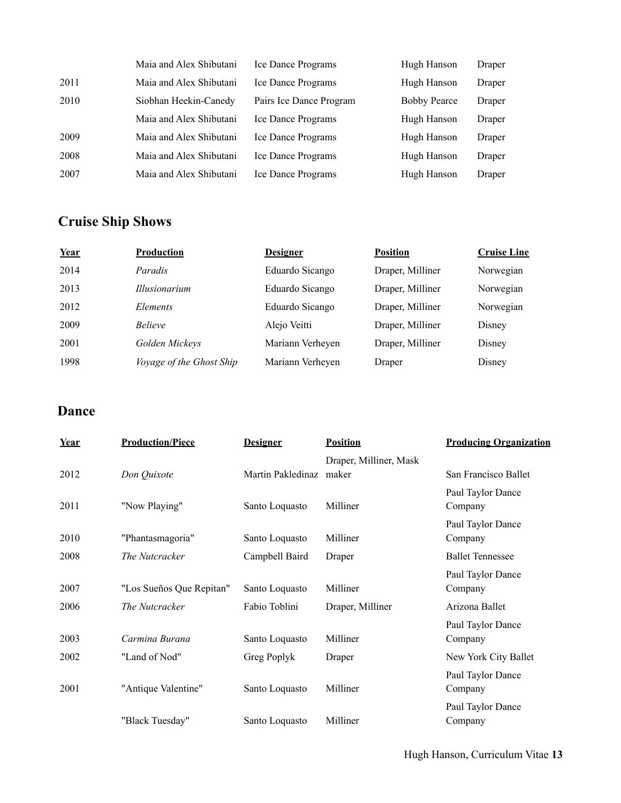|      | Maia and Alex Shibutani | <b>Ice Dance Programs</b> | Hugh Hanson         | Draper |
|------|-------------------------|---------------------------|---------------------|--------|
| 2011 | Maia and Alex Shibutani | Ice Dance Programs        | Hugh Hanson         | Draper |
| 2010 | Siobhan Heekin-Canedy   | Pairs Ice Dance Program   | <b>Bobby Pearce</b> | Draper |
|      | Maia and Alex Shibutani | <b>Ice Dance Programs</b> | Hugh Hanson         | Draper |
| 2009 | Maia and Alex Shibutani | <b>Ice Dance Programs</b> | Hugh Hanson         | Draper |
| 2008 | Maia and Alex Shibutani | <b>Ice Dance Programs</b> | Hugh Hanson         | Draper |
| 2007 | Maia and Alex Shibutani | Ice Dance Programs        | Hugh Hanson         | Draper |

# **Cruise Ship Shows**

| Year | Production               | <b>Designer</b>  | <b>Position</b>  | <b>Cruise Line</b> |
|------|--------------------------|------------------|------------------|--------------------|
| 2014 | Paradis                  | Eduardo Sicango  | Draper, Milliner | Norwegian          |
| 2013 | <i>Illusionarium</i>     | Eduardo Sicango  | Draper, Milliner | Norwegian          |
| 2012 | Elements                 | Eduardo Sicango  | Draper, Milliner | Norwegian          |
| 2009 | <i>Believe</i>           | Alejo Veitti     | Draper, Milliner | Disney             |
| 2001 | Golden Mickeys           | Mariann Verheyen | Draper, Milliner | Disney             |
| 1998 | Voyage of the Ghost Ship | Mariann Verheyen | Draper           | Disney             |

# **Dance**

| Year | <b>Production/Piece</b>  | <b>Designer</b>         | <b>Position</b>        | <b>Producing Organization</b> |
|------|--------------------------|-------------------------|------------------------|-------------------------------|
|      |                          |                         | Draper, Milliner, Mask |                               |
| 2012 | Don Quixote              | Martin Pakledinaz maker |                        | San Francisco Ballet          |
| 2011 | "Now Playing"            | Santo Loquasto          | Milliner               | Paul Taylor Dance<br>Company  |
|      |                          |                         |                        | Paul Taylor Dance             |
| 2010 | "Phantasmagoria"         | Santo Loquasto          | Milliner               | Company                       |
| 2008 | The Nutcracker           | Campbell Baird          | Draper                 | <b>Ballet Tennessee</b>       |
|      |                          |                         |                        | Paul Taylor Dance             |
| 2007 | "Los Sueños Que Repitan" | Santo Loquasto          | Milliner               | Company                       |
| 2006 | The Nutcracker           | Fabio Toblini           | Draper, Milliner       | Arizona Ballet                |
|      |                          |                         |                        | Paul Taylor Dance             |
| 2003 | Carmina Burana           | Santo Loquasto          | Milliner               | Company                       |
| 2002 | "Land of Nod"            | Greg Poplyk             | Draper                 | New York City Ballet          |
|      |                          |                         |                        | Paul Taylor Dance             |
| 2001 | "Antique Valentine"      | Santo Loquasto          | Milliner               | Company                       |
|      |                          |                         |                        | Paul Taylor Dance             |
|      | "Black Tuesday"          | Santo Loquasto          | Milliner               | Company                       |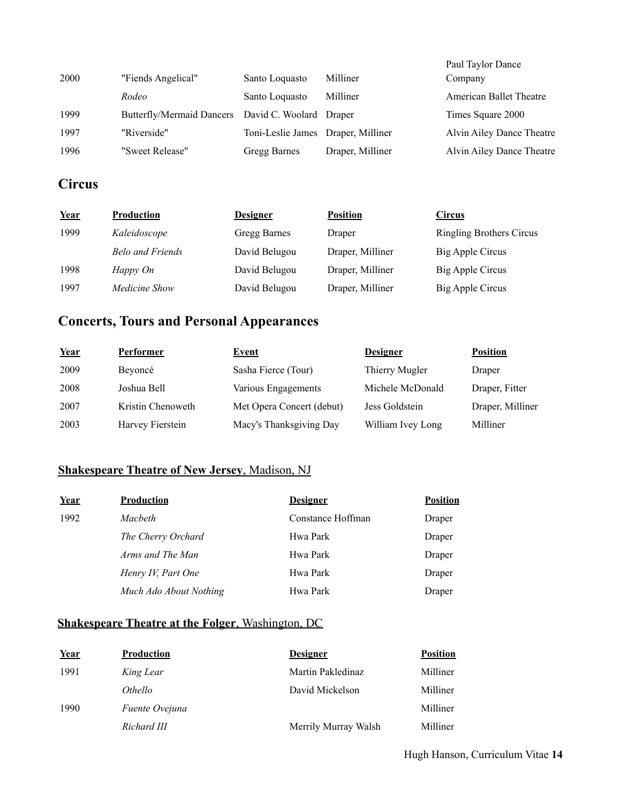| 2000 | "Fiends Angelical"                                | Santo Loquasto                     | Milliner         | Paul Taylor Dance<br>Company |
|------|---------------------------------------------------|------------------------------------|------------------|------------------------------|
|      | Rodeo                                             | Santo Loquasto                     | Milliner         | American Ballet Theatre      |
| 1999 | Butterfly/Mermaid Dancers David C. Woolard Draper |                                    |                  | Times Square 2000            |
| 1997 | "Riverside"                                       | Toni-Leslie James Draper, Milliner |                  | Alvin Ailey Dance Theatre    |
| 1996 | "Sweet Release"                                   | Gregg Barnes                       | Draper, Milliner | Alvin Ailey Dance Theatre    |

# **Circus**

| Year | <b>Production</b>       | <b>Designer</b> | <b>Position</b>  | <b>Circus</b>            |
|------|-------------------------|-----------------|------------------|--------------------------|
| 1999 | Kaleidoscope            | Gregg Barnes    | Draper           | Ringling Brothers Circus |
|      | <b>Belo and Friends</b> | David Belugou   | Draper, Milliner | Big Apple Circus         |
| 1998 | Happy On                | David Belugou   | Draper, Milliner | Big Apple Circus         |
| 1997 | Medicine Show           | David Belugou   | Draper, Milliner | Big Apple Circus         |

# **Concerts, Tours and Personal Appearances**

| Year | <b>Performer</b>  | <b>Event</b>              | <b>Designer</b>   | <b>Position</b>  |
|------|-------------------|---------------------------|-------------------|------------------|
| 2009 | Beyoncé           | Sasha Fierce (Tour)       | Thierry Mugler    | Draper           |
| 2008 | Joshua Bell       | Various Engagements       | Michele McDonald  | Draper, Fitter   |
| 2007 | Kristin Chenoweth | Met Opera Concert (debut) | Jess Goldstein    | Draper, Milliner |
| 2003 | Harvey Fierstein  | Macy's Thanksgiving Day   | William Ivey Long | Milliner         |

# **Shakespeare Theatre of New Jersey**, Madison, NJ

| Year | <b>Production</b>      | <b>Designer</b>   | <b>Position</b> |
|------|------------------------|-------------------|-----------------|
| 1992 | Macbeth                | Constance Hoffman | Draper          |
|      | The Cherry Orchard     | Hwa Park          | Draper          |
|      | Arms and The Man       | Hwa Park          | Draper          |
|      | Henry IV, Part One     | Hwa Park          | Draper          |
|      | Much Ado About Nothing | Hwa Park          | Draper          |

# **Shakespeare Theatre at the Folger**, Washington, DC

| <u>Year</u> | <b>Production</b>     | <b>Designer</b>      | <b>Position</b> |
|-------------|-----------------------|----------------------|-----------------|
| 1991        | King Lear             | Martin Pakledinaz    | Milliner        |
|             | <i>Othello</i>        | David Mickelson      | Milliner        |
| 1990        | <i>Fuente Ovejuna</i> |                      | Milliner        |
|             | Richard III           | Merrily Murray Walsh | Milliner        |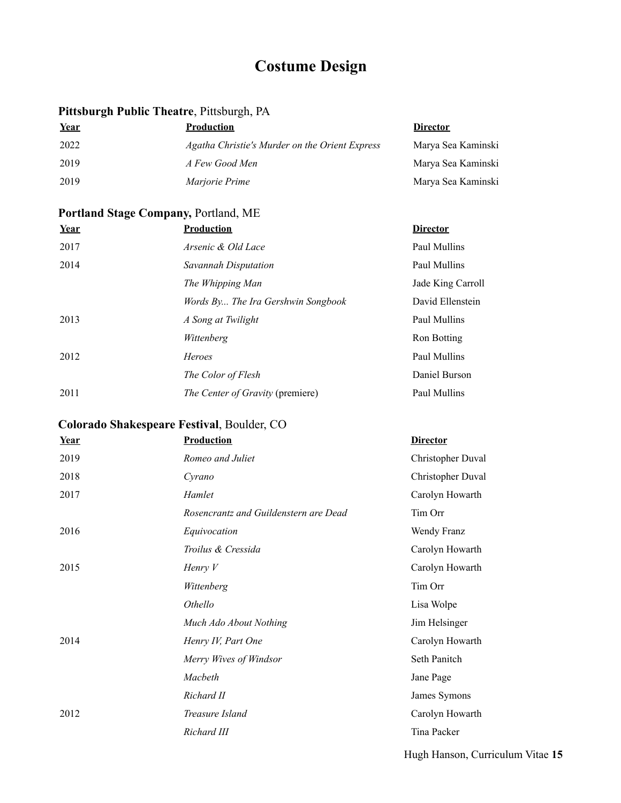# **Costume Design**

# **Pittsburgh Public Theatre**, Pittsburgh, PA

| Year | <b>Production</b>                              | <b>Director</b>    |
|------|------------------------------------------------|--------------------|
| 2022 | Agatha Christie's Murder on the Orient Express | Marya Sea Kaminski |
| 2019 | A Few Good Men                                 | Marya Sea Kaminski |
| 2019 | <i>Marjorie Prime</i>                          | Marya Sea Kaminski |

# **Portland Stage Company,** Portland, ME

| Year | <b>Production</b>                       | <b>Director</b>   |
|------|-----------------------------------------|-------------------|
| 2017 | Arsenic & Old Lace                      | Paul Mullins      |
| 2014 | Savannah Disputation                    | Paul Mullins      |
|      | The Whipping Man                        | Jade King Carroll |
|      | Words By The Ira Gershwin Songbook      | David Ellenstein  |
| 2013 | A Song at Twilight                      | Paul Mullins      |
|      | Wittenberg                              | Ron Botting       |
| 2012 | Heroes                                  | Paul Mullins      |
|      | The Color of Flesh                      | Daniel Burson     |
| 2011 | <i>The Center of Gravity (premiere)</i> | Paul Mullins      |

# **Colorado Shakespeare Festival**, Boulder, CO

| Year | <b>Production</b>                     | <b>Director</b>   |
|------|---------------------------------------|-------------------|
| 2019 | Romeo and Juliet                      | Christopher Duval |
| 2018 | Cyrano                                | Christopher Duval |
| 2017 | Hamlet                                | Carolyn Howarth   |
|      | Rosencrantz and Guildenstern are Dead | Tim Orr           |
| 2016 | Equivocation                          | Wendy Franz       |
|      | Troilus & Cressida                    | Carolyn Howarth   |
| 2015 | Henry $V$                             | Carolyn Howarth   |
|      | Wittenberg                            | Tim Orr           |
|      | Othello                               | Lisa Wolpe        |
|      | Much Ado About Nothing                | Jim Helsinger     |
| 2014 | Henry IV, Part One                    | Carolyn Howarth   |
|      | Merry Wives of Windsor                | Seth Panitch      |
|      | Macbeth                               | Jane Page         |
|      | Richard II                            | James Symons      |
| 2012 | Treasure Island                       | Carolyn Howarth   |
|      | Richard III                           | Tina Packer       |
|      |                                       |                   |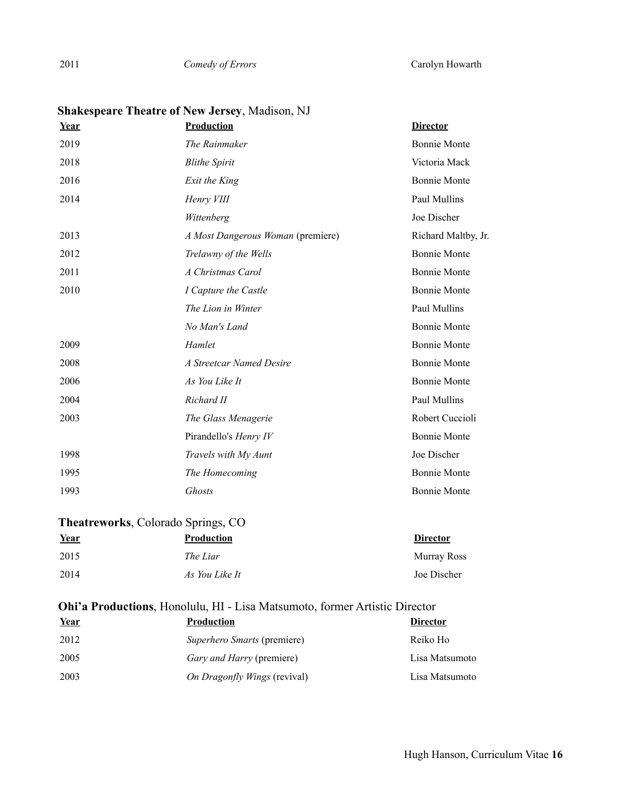*Comedy of Errors* Carolyn Howarth

| <u>Year</u> | Production                        | <b>Director</b>     |
|-------------|-----------------------------------|---------------------|
| 2019        | The Rainmaker                     | <b>Bonnie Monte</b> |
| 2018        | <b>Blithe Spirit</b>              | Victoria Mack       |
| 2016        | Exit the King                     | <b>Bonnie Monte</b> |
| 2014        | Henry VIII                        | Paul Mullins        |
|             | Wittenberg                        | Joe Discher         |
| 2013        | A Most Dangerous Woman (premiere) | Richard Maltby, Jr. |
| 2012        | Trelawny of the Wells             | <b>Bonnie Monte</b> |
| 2011        | A Christmas Carol                 | <b>Bonnie Monte</b> |
| 2010        | I Capture the Castle              | <b>Bonnie Monte</b> |
|             | The Lion in Winter                | Paul Mullins        |
|             | No Man's Land                     | <b>Bonnie Monte</b> |
| 2009        | Hamlet                            | <b>Bonnie Monte</b> |
| 2008        | A Streetcar Named Desire          | <b>Bonnie Monte</b> |
| 2006        | As You Like It                    | <b>Bonnie Monte</b> |
| 2004        | Richard II                        | Paul Mullins        |
| 2003        | The Glass Menagerie               | Robert Cuccioli     |
|             | Pirandello's Henry IV             | <b>Bonnie Monte</b> |
| 1998        | Travels with My Aunt              | Joe Discher         |
| 1995        | The Homecoming                    | <b>Bonnie Monte</b> |
| 1993        | Ghosts                            | <b>Bonnie Monte</b> |

# **Shakespeare Theatre of New Jersey**, Madison, NJ

## **Theatreworks**, Colorado Springs, CO

| Year | <b>Production</b> | <b>Director</b> |
|------|-------------------|-----------------|
| 2015 | The Liar          | Murray Ross     |
| 2014 | As You Like It    | Joe Discher     |

# **Ohi'a Productions**, Honolulu, HI - Lisa Matsumoto, former Artistic Director

| Year | <b>Production</b>                   | <b>Director</b> |
|------|-------------------------------------|-----------------|
| 2012 | <i>Superhero Smarts</i> (premiere)  | Reiko Ho        |
| 2005 | <i>Gary and Harry (premiere)</i>    | Lisa Matsumoto  |
| 2003 | <i>On Dragonfly Wings (revival)</i> | Lisa Matsumoto  |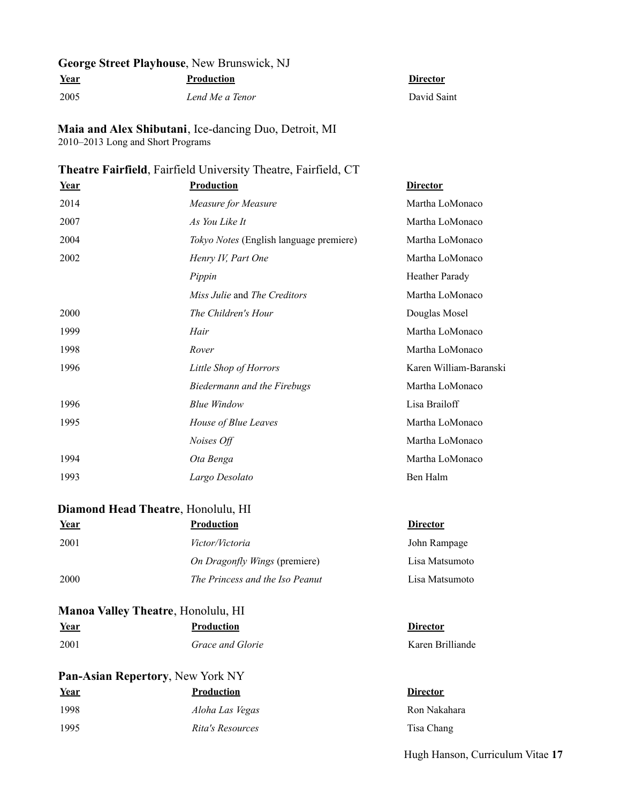# **George Street Playhouse**, New Brunswick, NJ

**Year Production Director**

2005 *Lend Me a Tenor* David Saint

**Maia and Alex Shibutani**, Ice-dancing Duo, Detroit, MI 2010–2013 Long and Short Programs

## **Theatre Fairfield**, Fairfield University Theatre, Fairfield, CT

| Year | <b>Production</b>                          | <b>Director</b>        |
|------|--------------------------------------------|------------------------|
| 2014 | Measure for Measure                        | Martha LoMonaco        |
| 2007 | As You Like It                             | Martha LoMonaco        |
| 2004 | Tokyo Notes (English language premiere)    | Martha LoMonaco        |
| 2002 | Henry IV, Part One                         | Martha LoMonaco        |
|      | Pippin                                     | <b>Heather Parady</b>  |
|      | <i>Miss Julie</i> and <i>The Creditors</i> | Martha LoMonaco        |
| 2000 | The Children's Hour                        | Douglas Mosel          |
| 1999 | Hair                                       | Martha LoMonaco        |
| 1998 | Rover                                      | Martha LoMonaco        |
| 1996 | Little Shop of Horrors                     | Karen William-Baranski |
|      | Biedermann and the Firebugs                | Martha LoMonaco        |
| 1996 | <b>Blue Window</b>                         | Lisa Brailoff          |
| 1995 | House of Blue Leaves                       | Martha LoMonaco        |
|      | Noises Off                                 | Martha LoMonaco        |
| 1994 | Ota Benga                                  | Martha LoMonaco        |
| 1993 | Largo Desolato                             | Ben Halm               |

#### **Diamond Head Theatre**, Honolulu, HI

| Year | <b>Production</b>               | <b>Director</b> |
|------|---------------------------------|-----------------|
| 2001 | <i>Victor/Victoria</i>          | John Rampage    |
|      | On Dragonfly Wings (premiere)   | Lisa Matsumoto  |
| 2000 | The Princess and the Iso Peanut | Lisa Matsumoto  |

## **Manoa Valley Theatre**, Honolulu, HI

| Year | <b>Production</b> | <b>Director</b>  |
|------|-------------------|------------------|
| 2001 | Grace and Glorie  | Karen Brilliande |

# **Pan-Asian Repertory**, New York NY

| Year | <b>Production</b> | <b>Director</b> |
|------|-------------------|-----------------|
| 1998 | Aloha Las Vegas   | Ron Naka        |
| 1995 | Rita's Resources  | Tisa Chai       |

1998 *Aloha Las Vegas* Ron Nakahara 1995 *Rita's Resources* Tisa Chang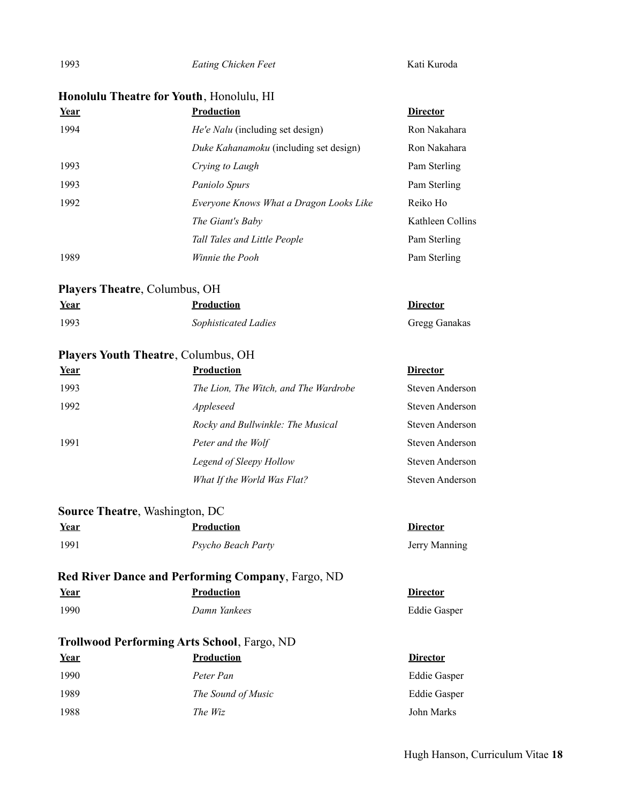1993 *Eating Chicken Feet* Kati Kuroda

# **Honolulu Theatre for Youth**, Honolulu, HI

| Year | <b>Production</b>                       | <b>Director</b>  |
|------|-----------------------------------------|------------------|
| 1994 | <i>He'e Nalu</i> (including set design) | Ron Nakahara     |
|      | Duke Kahanamoku (including set design)  | Ron Nakahara     |
| 1993 | Crying to Laugh                         | Pam Sterling     |
| 1993 | Paniolo Spurs                           | Pam Sterling     |
| 1992 | Everyone Knows What a Dragon Looks Like | Reiko Ho         |
|      | The Giant's Baby                        | Kathleen Collins |
|      | Tall Tales and Little People            | Pam Sterling     |
| 1989 | Winnie the Pooh                         | Pam Sterling     |

## **Players Theatre**, Columbus, OH

| Year | Production           | <b>Director</b> |
|------|----------------------|-----------------|
| 1993 | Sophisticated Ladies | Gregg Ganakas   |

# **Players Youth Theatre**, Columbus, OH

| Year | <b>Production</b>                     | <b>Director</b> |
|------|---------------------------------------|-----------------|
| 1993 | The Lion, The Witch, and The Wardrobe | Steven Anderson |
| 1992 | Appleseed                             | Steven Anderson |
|      | Rocky and Bullwinkle: The Musical     | Steven Anderson |
| 1991 | Peter and the Wolf                    | Steven Anderson |
|      | Legend of Sleepy Hollow               | Steven Anderson |
|      | What If the World Was Flat?           | Steven Anderson |

## **Source Theatre**, Washington, DC

| Year | <b>Production</b>  | Director      |
|------|--------------------|---------------|
| 1991 | Psycho Beach Party | Jerry Manning |

# **Red River Dance and Performing Company**, Fargo, ND **Year Production Director 1990 The Value Constraint Construction Constraint Paris Properties According Construction Construction Construction Construction Construction Construction Construction Construction Construction Construction Construction C**

| 1990 | Damn Yar |  |
|------|----------|--|
|      |          |  |

## **Trollwood Performing Arts School**, Fargo, ND

| <u>Year</u> | <b>Production</b>  | <b>Director</b>     |
|-------------|--------------------|---------------------|
| 1990        | Peter Pan          | <b>Eddie Gasper</b> |
| 1989        | The Sound of Music | <b>Eddie Gasper</b> |
| 1988        | The Wiz            | John Marks          |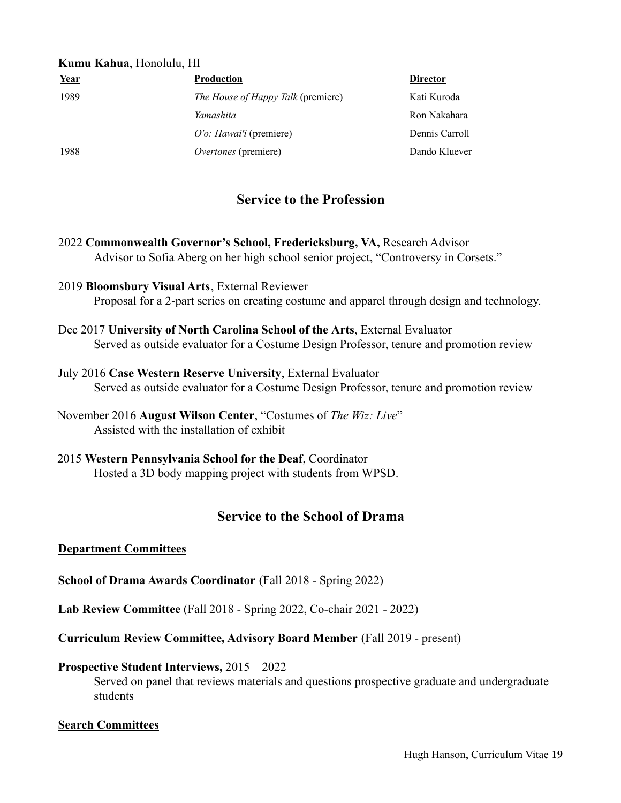#### **Kumu Kahua**, Honolulu, HI

| Year | <b>Production</b>                         | <b>Director</b> |
|------|-------------------------------------------|-----------------|
| 1989 | <i>The House of Happy Talk</i> (premiere) | Kati Kuroda     |
|      | Yamashita                                 | Ron Nakahara    |
|      | O'o: Hawai'i (premiere)                   | Dennis Carroll  |
| 1988 | Overtones (premiere)                      | Dando Kluever   |

# **Service to the Profession**

- 2022 **Commonwealth Governor's School, Fredericksburg, VA,** Research Advisor Advisor to Sofia Aberg on her high school senior project, "Controversy in Corsets."
- 2019 **Bloomsbury Visual Arts**, External Reviewer Proposal for a 2-part series on creating costume and apparel through design and technology.
- Dec 2017 **University of North Carolina School of the Arts**, External Evaluator Served as outside evaluator for a Costume Design Professor, tenure and promotion review
- July 2016 **Case Western Reserve University**, External Evaluator Served as outside evaluator for a Costume Design Professor, tenure and promotion review

2015 **Western Pennsylvania School for the Deaf**, Coordinator Hosted a 3D body mapping project with students from WPSD.

# **Service to the School of Drama**

#### **Department Committees**

**School of Drama Awards Coordinator** (Fall 2018 - Spring 2022)

**Lab Review Committee** (Fall 2018 - Spring 2022, Co-chair 2021 - 2022)

**Curriculum Review Committee, Advisory Board Member** (Fall 2019 - present)

#### **Prospective Student Interviews,** 2015 – 2022

Served on panel that reviews materials and questions prospective graduate and undergraduate students

#### **Search Committees**

November 2016 **August Wilson Center**, "Costumes of *The Wiz: Live*" Assisted with the installation of exhibit